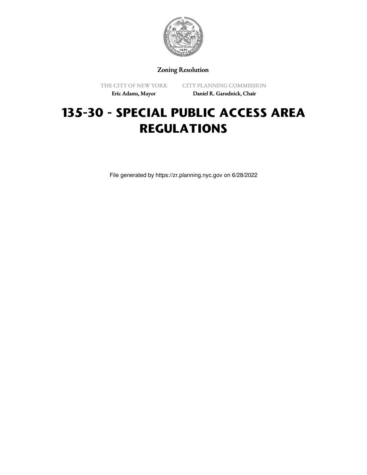

Zoning Resolution

THE CITY OF NEW YORK

CITY PLANNING COMMISSION

Eric Adams, Mayor

Daniel R. Garodnick, Chair

## **135-30 - SPECIAL PUBLIC ACCESS AREA REGULATIONS**

File generated by https://zr.planning.nyc.gov on 6/28/2022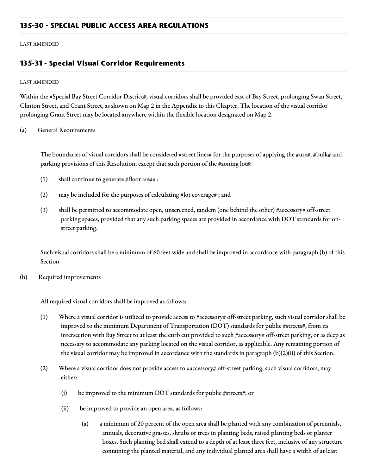LAST AMENDED

## **135-31 - Special Visual Corridor Requirements**

## LAST AMENDED

Within the #Special Bay Street Corridor District#, visual corridors shall be provided east of Bay Street, prolonging Swan Street, Clinton Street, and Grant Street, as shown on Map 2 in the Appendix to this Chapter. The location of the visual corridor prolonging Grant Street may be located anywhere within the flexible location designated on Map 2.

## (a) General Requirements

The boundaries of visual corridors shall be considered #street lines# for the purposes of applying the #use#, #bulk# and parking provisions of this Resolution, except that such portion of the #zoning lot#:

- (1) shall continue to generate #floor area# ;
- (2) may be included for the purposes of calculating #lot coverage# ; and
- (3) shall be permitted to accommodate open, unscreened, tandem (one behind the other) #accessory# off-street parking spaces, provided that any such parking spaces are provided in accordance with DOT standards for onstreet parking.

Such visual corridors shall be a minimum of 60 feet wide and shall be improved in accordance with paragraph (b) of this Section

(b) Required improvements

All required visual corridors shall be improved as follows:

- (1) Where a visual corridor is utilized to provide access to #accessory# off-street parking, such visual corridor shall be improved to the minimum Department of Transportation (DOT) standards for public #streets#, from its intersection with Bay Street to at least the curb cut provided to such #accessory# off-street parking, or as deep as necessary to accommodate any parking located on the visual corridor, as applicable. Any remaining portion of the visual corridor may be improved in accordance with the standards in paragraph (b)(2)(ii) of this Section.
- (2) Where a visual corridor does not provide access to #accessory# off-street parking, such visual corridors, may either:
	- (i) be improved to the minimum DOT standards for public #streets#; or
	- (ii) be improved to provide an open area, as follows:
		- (a) a minimum of 20 percent of the open area shall be planted with any combination of perennials, annuals, decorative grasses, shrubs or trees in planting beds, raised planting beds or planter boxes. Such planting bed shall extend to a depth of at least three feet, inclusive of any structure containing the planted material, and any individual planted area shall have a width of at least